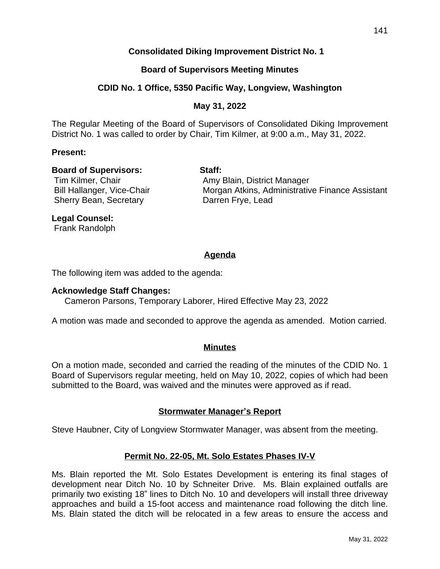## **Consolidated Diking Improvement District No. 1**

## **Board of Supervisors Meeting Minutes**

### **CDID No. 1 Office, 5350 Pacific Way, Longview, Washington**

### **May 31, 2022**

The Regular Meeting of the Board of Supervisors of Consolidated Diking Improvement District No. 1 was called to order by Chair, Tim Kilmer, at 9:00 a.m., May 31, 2022.

#### **Present:**

#### **Board of Supervisors: Staff:**

Sherry Bean, Secretary **Darren Frye**, Lead

Tim Kilmer, Chair **Amy Blain, District Manager** Bill Hallanger, Vice-Chair **Morgan Atkins, Administrative Finance Assistant** 

## **Legal Counsel:**

Frank Randolph

## **Agenda**

The following item was added to the agenda:

#### **Acknowledge Staff Changes:**

Cameron Parsons, Temporary Laborer, Hired Effective May 23, 2022

A motion was made and seconded to approve the agenda as amended. Motion carried.

#### **Minutes**

On a motion made, seconded and carried the reading of the minutes of the CDID No. 1 Board of Supervisors regular meeting, held on May 10, 2022, copies of which had been submitted to the Board, was waived and the minutes were approved as if read.

#### **Stormwater Manager's Report**

Steve Haubner, City of Longview Stormwater Manager, was absent from the meeting.

## **Permit No. 22-05, Mt. Solo Estates Phases IV-V**

Ms. Blain reported the Mt. Solo Estates Development is entering its final stages of development near Ditch No. 10 by Schneiter Drive. Ms. Blain explained outfalls are primarily two existing 18" lines to Ditch No. 10 and developers will install three driveway approaches and build a 15-foot access and maintenance road following the ditch line. Ms. Blain stated the ditch will be relocated in a few areas to ensure the access and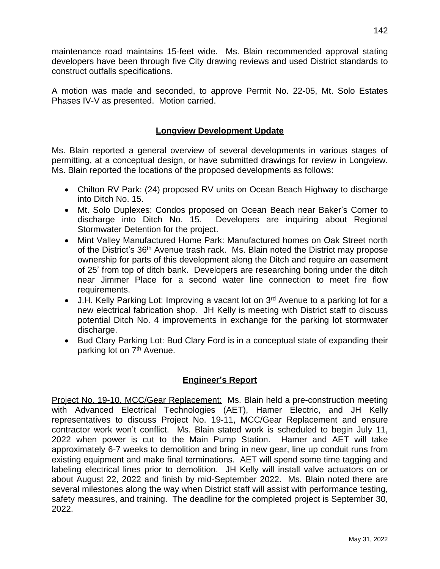maintenance road maintains 15-feet wide. Ms. Blain recommended approval stating developers have been through five City drawing reviews and used District standards to construct outfalls specifications.

A motion was made and seconded, to approve Permit No. 22-05, Mt. Solo Estates Phases IV-V as presented. Motion carried.

## **Longview Development Update**

Ms. Blain reported a general overview of several developments in various stages of permitting, at a conceptual design, or have submitted drawings for review in Longview. Ms. Blain reported the locations of the proposed developments as follows:

- Chilton RV Park: (24) proposed RV units on Ocean Beach Highway to discharge into Ditch No. 15.
- Mt. Solo Duplexes: Condos proposed on Ocean Beach near Baker's Corner to discharge into Ditch No. 15. Developers are inquiring about Regional Developers are inquiring about Regional Stormwater Detention for the project.
- Mint Valley Manufactured Home Park: Manufactured homes on Oak Street north of the District's 36<sup>th</sup> Avenue trash rack. Ms. Blain noted the District may propose ownership for parts of this development along the Ditch and require an easement of 25' from top of ditch bank. Developers are researching boring under the ditch near Jimmer Place for a second water line connection to meet fire flow requirements.
- J.H. Kelly Parking Lot: Improving a vacant lot on 3<sup>rd</sup> Avenue to a parking lot for a new electrical fabrication shop. JH Kelly is meeting with District staff to discuss potential Ditch No. 4 improvements in exchange for the parking lot stormwater discharge.
- Bud Clary Parking Lot: Bud Clary Ford is in a conceptual state of expanding their parking lot on 7<sup>th</sup> Avenue.

## **Engineer's Report**

Project No. 19-10, MCC/Gear Replacement: Ms. Blain held a pre-construction meeting with Advanced Electrical Technologies (AET), Hamer Electric, and JH Kelly representatives to discuss Project No. 19-11, MCC/Gear Replacement and ensure contractor work won't conflict. Ms. Blain stated work is scheduled to begin July 11, 2022 when power is cut to the Main Pump Station. Hamer and AET will take approximately 6-7 weeks to demolition and bring in new gear, line up conduit runs from existing equipment and make final terminations. AET will spend some time tagging and labeling electrical lines prior to demolition. JH Kelly will install valve actuators on or about August 22, 2022 and finish by mid-September 2022. Ms. Blain noted there are several milestones along the way when District staff will assist with performance testing, safety measures, and training. The deadline for the completed project is September 30, 2022.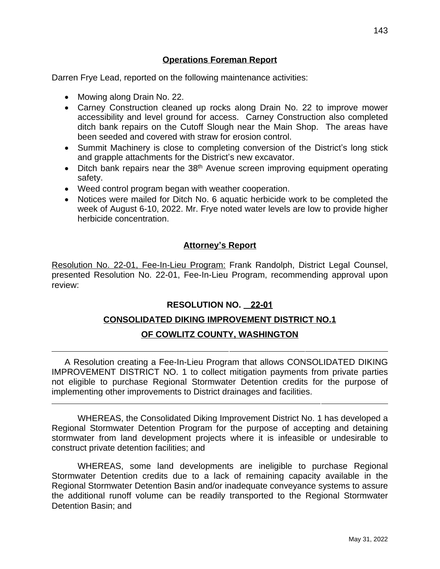## **Operations Foreman Report**

Darren Frye Lead, reported on the following maintenance activities:

• Mowing along Drain No. 22.

 $\overline{a}$ 

 $\overline{a}$ 

- Carney Construction cleaned up rocks along Drain No. 22 to improve mower accessibility and level ground for access. Carney Construction also completed ditch bank repairs on the Cutoff Slough near the Main Shop. The areas have been seeded and covered with straw for erosion control.
- Summit Machinery is close to completing conversion of the District's long stick and grapple attachments for the District's new excavator.
- Ditch bank repairs near the 38<sup>th</sup> Avenue screen improving equipment operating safety.
- Weed control program began with weather cooperation.
- Notices were mailed for Ditch No. 6 aquatic herbicide work to be completed the week of August 6-10, 2022. Mr. Frye noted water levels are low to provide higher herbicide concentration.

# **Attorney's Report**

Resolution No. 22-01, Fee-In-Lieu Program: Frank Randolph, District Legal Counsel, presented Resolution No. 22-01, Fee-In-Lieu Program, recommending approval upon review:

# **RESOLUTION NO. 22-01**

# **CONSOLIDATED DIKING IMPROVEMENT DISTRICT NO.1**

# **OF COWLITZ COUNTY, WASHINGTON**

A Resolution creating a Fee-In-Lieu Program that allows CONSOLIDATED DIKING IMPROVEMENT DISTRICT NO. 1 to collect mitigation payments from private parties not eligible to purchase Regional Stormwater Detention credits for the purpose of implementing other improvements to District drainages and facilities.

WHEREAS, the Consolidated Diking Improvement District No. 1 has developed a Regional Stormwater Detention Program for the purpose of accepting and detaining stormwater from land development projects where it is infeasible or undesirable to construct private detention facilities; and

WHEREAS, some land developments are ineligible to purchase Regional Stormwater Detention credits due to a lack of remaining capacity available in the Regional Stormwater Detention Basin and/or inadequate conveyance systems to assure the additional runoff volume can be readily transported to the Regional Stormwater Detention Basin; and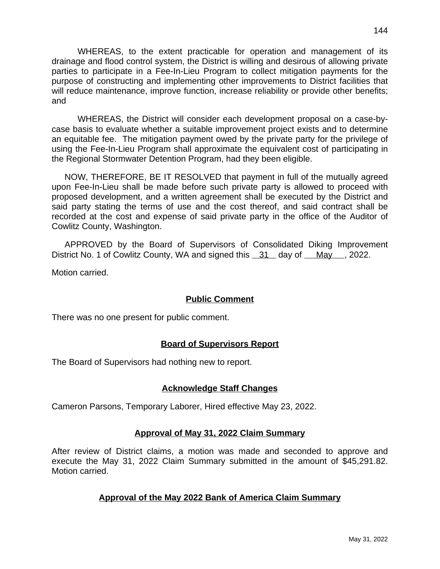WHEREAS, to the extent practicable for operation and management of its drainage and flood control system, the District is willing and desirous of allowing private parties to participate in a Fee-In-Lieu Program to collect mitigation payments for the purpose of constructing and implementing other improvements to District facilities that will reduce maintenance, improve function, increase reliability or provide other benefits; and

WHEREAS, the District will consider each development proposal on a case-bycase basis to evaluate whether a suitable improvement project exists and to determine an equitable fee. The mitigation payment owed by the private party for the privilege of using the Fee-In-Lieu Program shall approximate the equivalent cost of participating in the Regional Stormwater Detention Program, had they been eligible.

NOW, THEREFORE, BE IT RESOLVED that payment in full of the mutually agreed upon Fee-In-Lieu shall be made before such private party is allowed to proceed with proposed development, and a written agreement shall be executed by the District and said party stating the terms of use and the cost thereof, and said contract shall be recorded at the cost and expense of said private party in the office of the Auditor of Cowlitz County, Washington.

APPROVED by the Board of Supervisors of Consolidated Diking Improvement District No. 1 of Cowlitz County, WA and signed this 31 day of May , 2022.

Motion carried.

## **Public Comment**

There was no one present for public comment.

## **Board of Supervisors Report**

The Board of Supervisors had nothing new to report.

## **Acknowledge Staff Changes**

Cameron Parsons, Temporary Laborer, Hired effective May 23, 2022.

## **Approval of May 31, 2022 Claim Summary**

After review of District claims, a motion was made and seconded to approve and execute the May 31, 2022 Claim Summary submitted in the amount of \$45,291.82. Motion carried.

## **Approval of the May 2022 Bank of America Claim Summary**